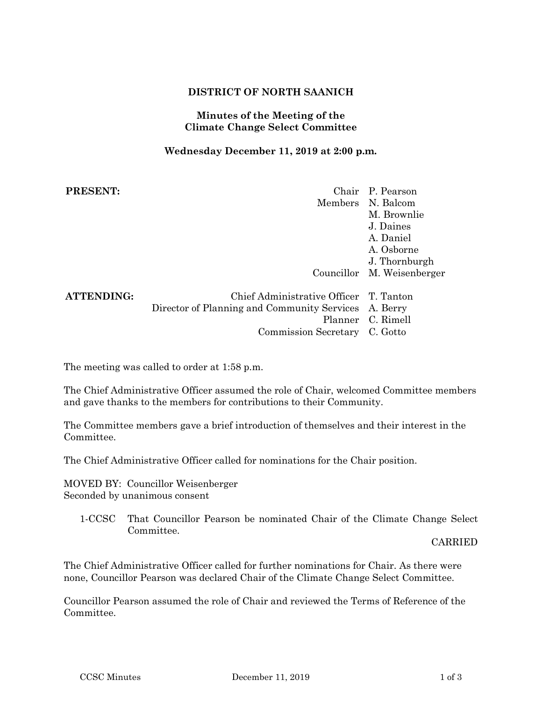## **DISTRICT OF NORTH SAANICH**

### **Minutes of the Meeting of the Climate Change Select Committee**

### **Wednesday December 11, 2019 at 2:00 p.m.**

| <b>PRESENT:</b>   |                                                      | Chair P. Pearson           |
|-------------------|------------------------------------------------------|----------------------------|
|                   |                                                      | Members N. Balcom          |
|                   |                                                      | M. Brownlie                |
|                   |                                                      | J. Daines                  |
|                   |                                                      | A. Daniel                  |
|                   |                                                      | A. Osborne                 |
|                   |                                                      | J. Thornburgh              |
|                   |                                                      | Councillor M. Weisenberger |
| <b>ATTENDING:</b> | Chief Administrative Officer T. Tanton               |                            |
|                   | Director of Planning and Community Services A. Berry |                            |
|                   |                                                      | Planner C. Rimell          |
|                   | Commission Secretary C. Gotto                        |                            |

The meeting was called to order at 1:58 p.m.

The Chief Administrative Officer assumed the role of Chair, welcomed Committee members and gave thanks to the members for contributions to their Community.

The Committee members gave a brief introduction of themselves and their interest in the Committee.

The Chief Administrative Officer called for nominations for the Chair position.

MOVED BY: Councillor Weisenberger Seconded by unanimous consent

1-CCSC That Councillor Pearson be nominated Chair of the Climate Change Select Committee.

CARRIED

The Chief Administrative Officer called for further nominations for Chair. As there were none, Councillor Pearson was declared Chair of the Climate Change Select Committee.

Councillor Pearson assumed the role of Chair and reviewed the Terms of Reference of the Committee.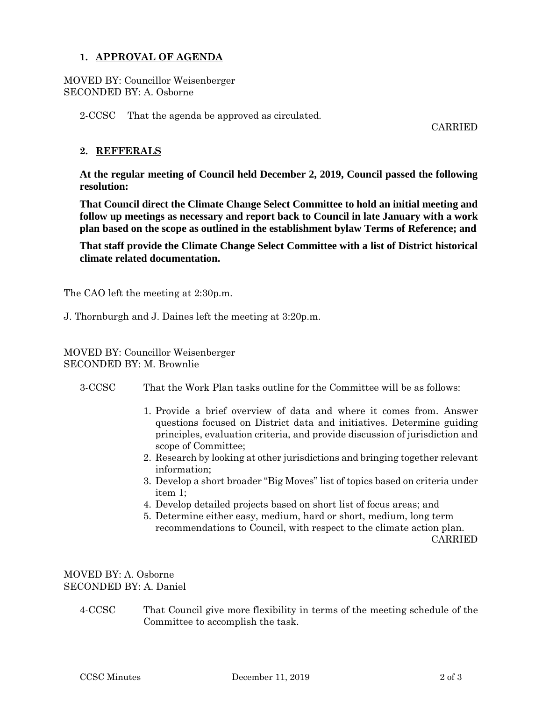### **1. APPROVAL OF AGENDA**

MOVED BY: Councillor Weisenberger SECONDED BY: A. Osborne

2-CCSC That the agenda be approved as circulated.

CARRIED

## **2. REFFERALS**

**At the regular meeting of Council held December 2, 2019, Council passed the following resolution:**

**That Council direct the Climate Change Select Committee to hold an initial meeting and follow up meetings as necessary and report back to Council in late January with a work plan based on the scope as outlined in the establishment bylaw Terms of Reference; and**

**That staff provide the Climate Change Select Committee with a list of District historical climate related documentation.** 

The CAO left the meeting at 2:30p.m.

J. Thornburgh and J. Daines left the meeting at 3:20p.m.

MOVED BY: Councillor Weisenberger SECONDED BY: M. Brownlie

- 3-CCSC That the Work Plan tasks outline for the Committee will be as follows:
	- 1. Provide a brief overview of data and where it comes from. Answer questions focused on District data and initiatives. Determine guiding principles, evaluation criteria, and provide discussion of jurisdiction and scope of Committee;
	- 2. Research by looking at other jurisdictions and bringing together relevant information;
	- 3. Develop a short broader "Big Moves" list of topics based on criteria under item 1;
	- 4. Develop detailed projects based on short list of focus areas; and
	- 5. Determine either easy, medium, hard or short, medium, long term recommendations to Council, with respect to the climate action plan. CARRIED

# MOVED BY: A. Osborne SECONDED BY: A. Daniel

4-CCSC That Council give more flexibility in terms of the meeting schedule of the Committee to accomplish the task.